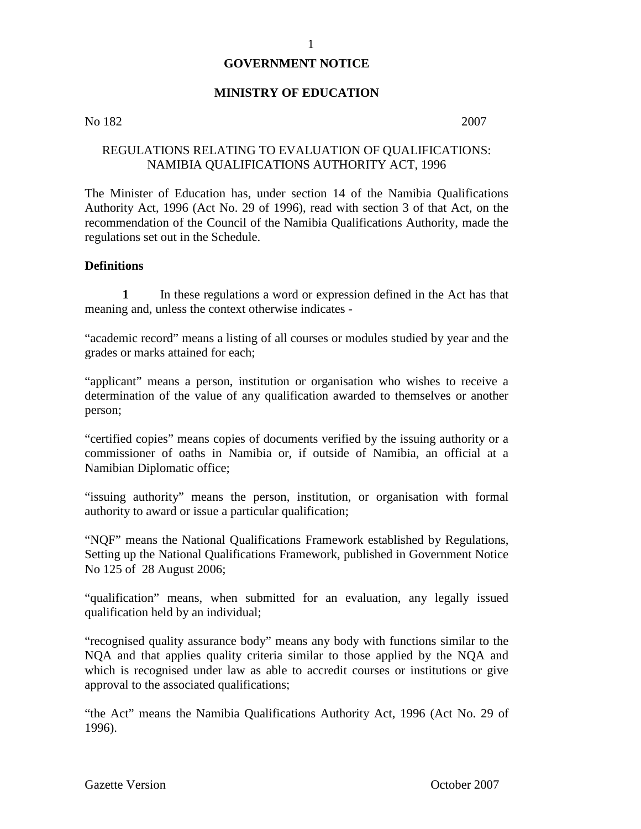#### **GOVERNMENT NOTICE**

#### **MINISTRY OF EDUCATION**

#### No 182 2007

#### REGULATIONS RELATING TO EVALUATION OF QUALIFICATIONS: NAMIBIA QUALIFICATIONS AUTHORITY ACT, 1996

The Minister of Education has, under section 14 of the Namibia Qualifications Authority Act, 1996 (Act No. 29 of 1996), read with section 3 of that Act, on the recommendation of the Council of the Namibia Qualifications Authority, made the regulations set out in the Schedule.

#### **Definitions**

**1** In these regulations a word or expression defined in the Act has that meaning and, unless the context otherwise indicates -

"academic record" means a listing of all courses or modules studied by year and the grades or marks attained for each;

"applicant" means a person, institution or organisation who wishes to receive a determination of the value of any qualification awarded to themselves or another person;

"certified copies" means copies of documents verified by the issuing authority or a commissioner of oaths in Namibia or, if outside of Namibia, an official at a Namibian Diplomatic office;

"issuing authority" means the person, institution, or organisation with formal authority to award or issue a particular qualification;

"NQF" means the National Qualifications Framework established by Regulations, Setting up the National Qualifications Framework, published in Government Notice No 125 of 28 August 2006;

"qualification" means, when submitted for an evaluation, any legally issued qualification held by an individual;

"recognised quality assurance body" means any body with functions similar to the NQA and that applies quality criteria similar to those applied by the NQA and which is recognised under law as able to accredit courses or institutions or give approval to the associated qualifications;

"the Act" means the Namibia Qualifications Authority Act, 1996 (Act No. 29 of 1996).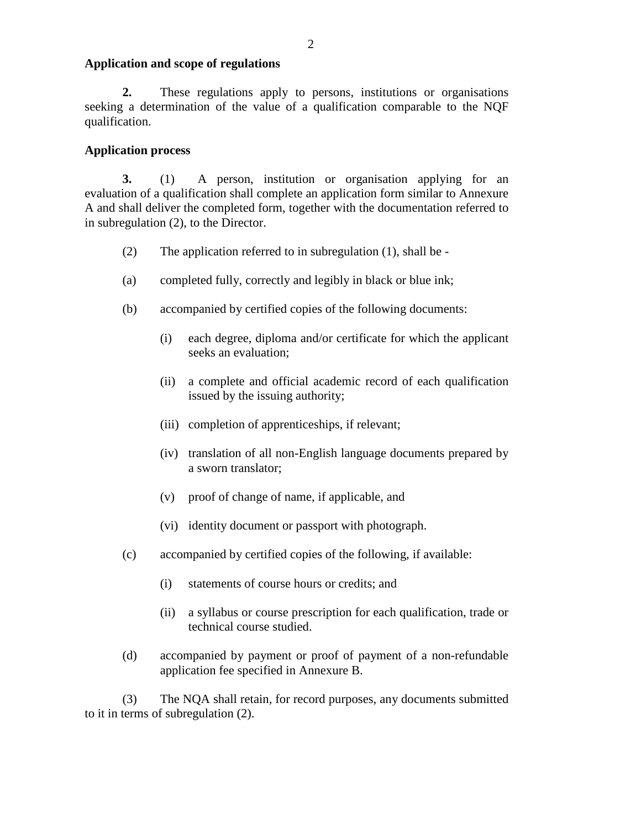#### **Application and scope of regulations**

**2.** These regulations apply to persons, institutions or organisations seeking a determination of the value of a qualification comparable to the NQF qualification.

#### **Application process**

**3.** (1) A person, institution or organisation applying for an evaluation of a qualification shall complete an application form similar to Annexure A and shall deliver the completed form, together with the documentation referred to in subregulation (2), to the Director.

- (2) The application referred to in subregulation (1), shall be -
- (a) completed fully, correctly and legibly in black or blue ink;
- (b) accompanied by certified copies of the following documents:
	- (i) each degree, diploma and/or certificate for which the applicant seeks an evaluation;
	- (ii) a complete and official academic record of each qualification issued by the issuing authority;
	- (iii) completion of apprenticeships, if relevant;
	- (iv) translation of all non-English language documents prepared by a sworn translator;
	- (v) proof of change of name, if applicable, and
	- (vi) identity document or passport with photograph.
- (c) accompanied by certified copies of the following, if available:
	- (i) statements of course hours or credits; and
	- (ii) a syllabus or course prescription for each qualification, trade or technical course studied.
- (d) accompanied by payment or proof of payment of a non-refundable application fee specified in Annexure B.

(3) The NQA shall retain, for record purposes, any documents submitted to it in terms of subregulation (2).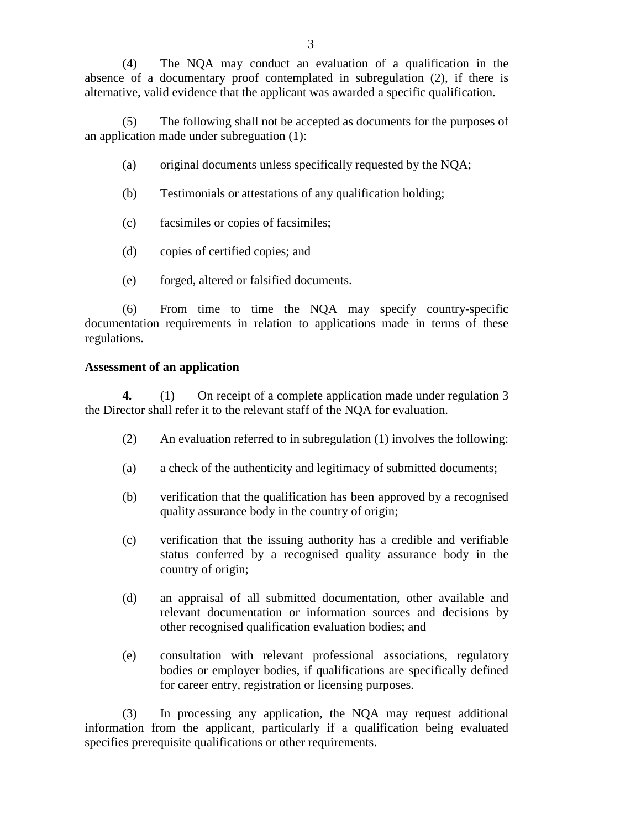(4) The NQA may conduct an evaluation of a qualification in the absence of a documentary proof contemplated in subregulation (2), if there is alternative, valid evidence that the applicant was awarded a specific qualification.

(5) The following shall not be accepted as documents for the purposes of an application made under subreguation (1):

- (a) original documents unless specifically requested by the NQA;
- (b) Testimonials or attestations of any qualification holding;
- (c) facsimiles or copies of facsimiles;
- (d) copies of certified copies; and
- (e) forged, altered or falsified documents.

(6) From time to time the NQA may specify country-specific documentation requirements in relation to applications made in terms of these regulations.

#### **Assessment of an application**

**4.** (1) On receipt of a complete application made under regulation 3 the Director shall refer it to the relevant staff of the NQA for evaluation.

- (2) An evaluation referred to in subregulation (1) involves the following:
- (a) a check of the authenticity and legitimacy of submitted documents;
- (b) verification that the qualification has been approved by a recognised quality assurance body in the country of origin;
- (c) verification that the issuing authority has a credible and verifiable status conferred by a recognised quality assurance body in the country of origin;
- (d) an appraisal of all submitted documentation, other available and relevant documentation or information sources and decisions by other recognised qualification evaluation bodies; and
- (e) consultation with relevant professional associations, regulatory bodies or employer bodies, if qualifications are specifically defined for career entry, registration or licensing purposes.

(3) In processing any application, the NQA may request additional information from the applicant, particularly if a qualification being evaluated specifies prerequisite qualifications or other requirements.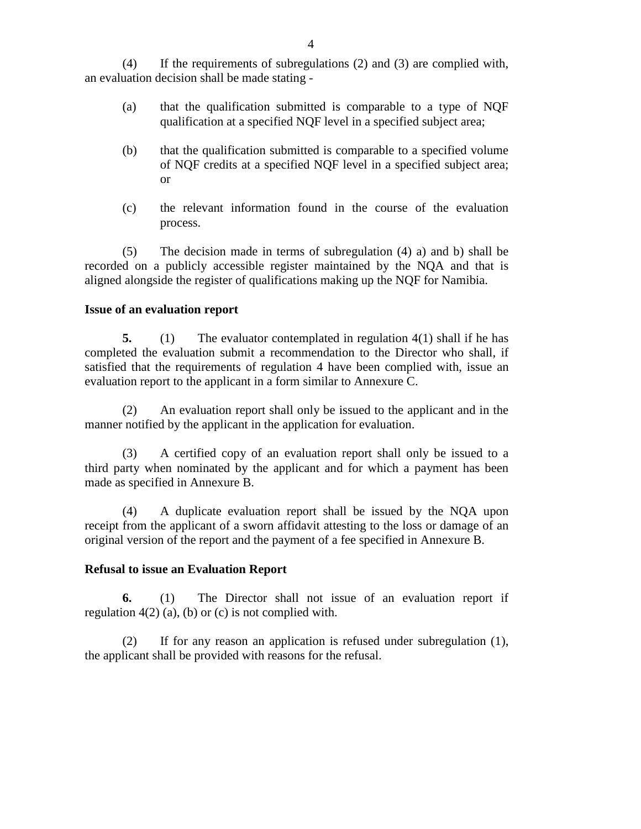(4) If the requirements of subregulations (2) and (3) are complied with, an evaluation decision shall be made stating -

- (a) that the qualification submitted is comparable to a type of NQF qualification at a specified NQF level in a specified subject area;
- (b) that the qualification submitted is comparable to a specified volume of NQF credits at a specified NQF level in a specified subject area; or
- (c) the relevant information found in the course of the evaluation process.

(5) The decision made in terms of subregulation (4) a) and b) shall be recorded on a publicly accessible register maintained by the NQA and that is aligned alongside the register of qualifications making up the NQF for Namibia.

#### **Issue of an evaluation report**

**5.** (1) The evaluator contemplated in regulation 4(1) shall if he has completed the evaluation submit a recommendation to the Director who shall, if satisfied that the requirements of regulation 4 have been complied with, issue an evaluation report to the applicant in a form similar to Annexure C.

(2) An evaluation report shall only be issued to the applicant and in the manner notified by the applicant in the application for evaluation.

(3) A certified copy of an evaluation report shall only be issued to a third party when nominated by the applicant and for which a payment has been made as specified in Annexure B.

(4) A duplicate evaluation report shall be issued by the NQA upon receipt from the applicant of a sworn affidavit attesting to the loss or damage of an original version of the report and the payment of a fee specified in Annexure B.

#### **Refusal to issue an Evaluation Report**

 **6.** (1) The Director shall not issue of an evaluation report if regulation  $4(2)$  (a), (b) or (c) is not complied with.

(2) If for any reason an application is refused under subregulation (1), the applicant shall be provided with reasons for the refusal.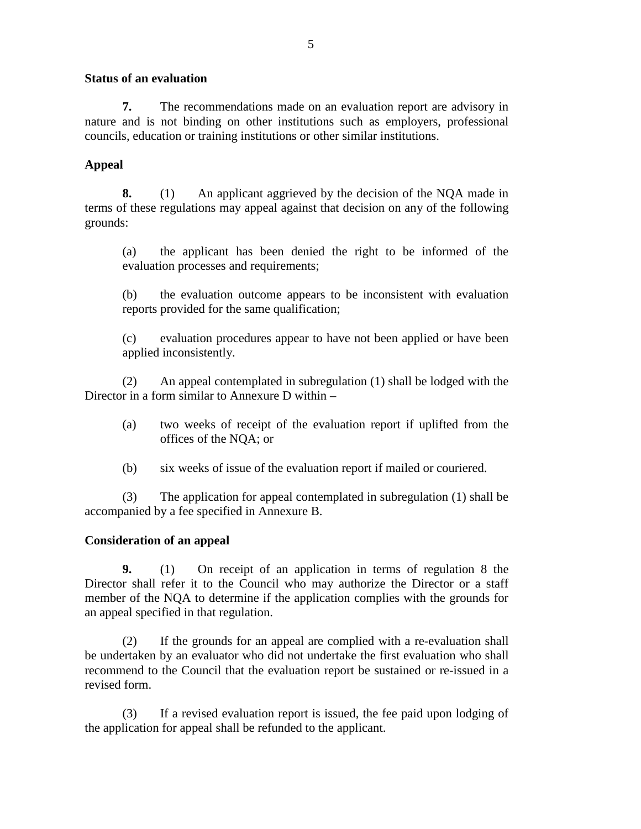#### **Status of an evaluation**

**7.** The recommendations made on an evaluation report are advisory in nature and is not binding on other institutions such as employers, professional councils, education or training institutions or other similar institutions.

### **Appeal**

**8.** (1) An applicant aggrieved by the decision of the NQA made in terms of these regulations may appeal against that decision on any of the following grounds:

(a) the applicant has been denied the right to be informed of the evaluation processes and requirements;

(b) the evaluation outcome appears to be inconsistent with evaluation reports provided for the same qualification;

(c) evaluation procedures appear to have not been applied or have been applied inconsistently.

(2) An appeal contemplated in subregulation (1) shall be lodged with the Director in a form similar to Annexure D within –

- (a) two weeks of receipt of the evaluation report if uplifted from the offices of the NQA; or
- (b) six weeks of issue of the evaluation report if mailed or couriered.

(3) The application for appeal contemplated in subregulation (1) shall be accompanied by a fee specified in Annexure B.

#### **Consideration of an appeal**

**9.** (1) On receipt of an application in terms of regulation 8 the Director shall refer it to the Council who may authorize the Director or a staff member of the NQA to determine if the application complies with the grounds for an appeal specified in that regulation.

(2) If the grounds for an appeal are complied with a re-evaluation shall be undertaken by an evaluator who did not undertake the first evaluation who shall recommend to the Council that the evaluation report be sustained or re-issued in a revised form.

(3) If a revised evaluation report is issued, the fee paid upon lodging of the application for appeal shall be refunded to the applicant.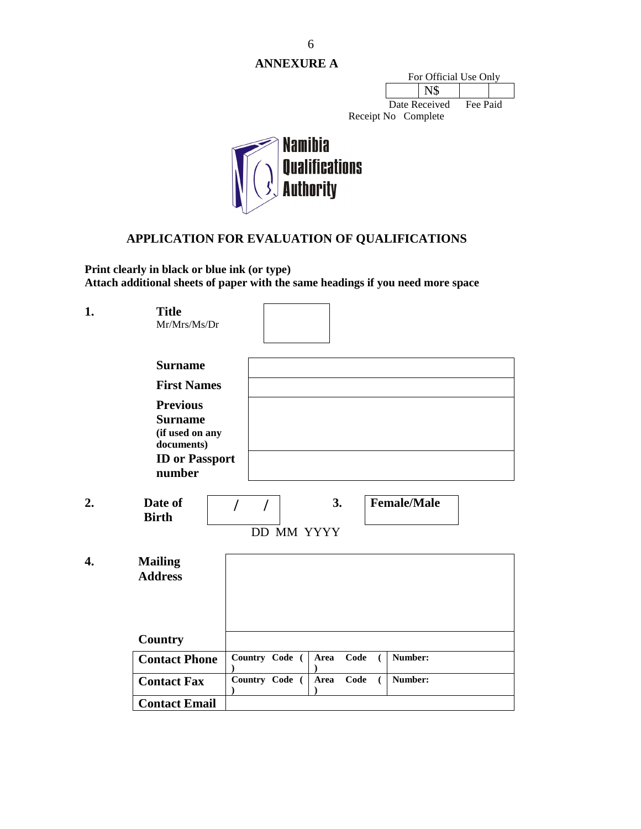**ANNEXURE A** 

| For Official Use Only |               |          |  |  |
|-----------------------|---------------|----------|--|--|
|                       |               |          |  |  |
|                       | Date Received | Fee Paid |  |  |

Receipt No Complete



# **APPLICATION FOR EVALUATION OF QUALIFICATIONS**

**Print clearly in black or blue ink (or type) Attach additional sheets of paper with the same headings if you need more space**

| 1.               | <b>Title</b><br>Mr/Mrs/Ms/Dr                                                                          |                                                |
|------------------|-------------------------------------------------------------------------------------------------------|------------------------------------------------|
|                  |                                                                                                       |                                                |
|                  | <b>Surname</b>                                                                                        |                                                |
|                  | <b>First Names</b>                                                                                    |                                                |
|                  | <b>Previous</b><br><b>Surname</b><br>(if used on any<br>documents)<br><b>ID</b> or Passport<br>number |                                                |
|                  |                                                                                                       |                                                |
| 2.               | Date of<br><b>Birth</b>                                                                               | <b>Female/Male</b><br>3.<br>$\sqrt{ }$         |
|                  |                                                                                                       | DD MM YYYY                                     |
| $\overline{4}$ . | <b>Mailing</b><br><b>Address</b>                                                                      |                                                |
|                  | Country                                                                                               |                                                |
|                  | <b>Contact Phone</b>                                                                                  | Number:<br>Country Code (<br>Code<br>Area<br>( |
|                  | <b>Contact Fax</b>                                                                                    | Country Code (<br>Area<br>Code<br>Number:<br>€ |
|                  | <b>Contact Email</b>                                                                                  |                                                |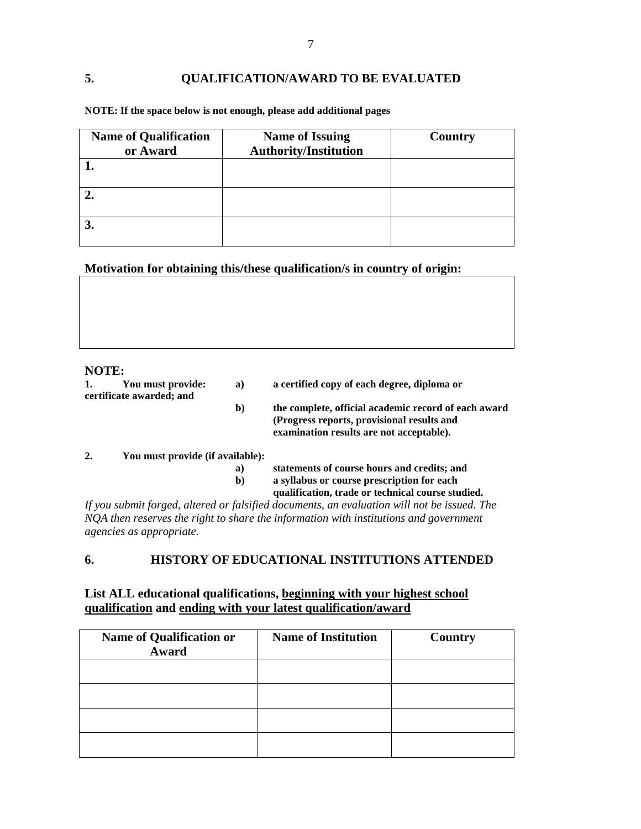#### **5. QUALIFICATION/AWARD TO BE EVALUATED**

| <b>Name of Qualification</b> | <b>Name of Issuing</b>       | Country |
|------------------------------|------------------------------|---------|
| or Award                     | <b>Authority/Institution</b> |         |
|                              |                              |         |
|                              |                              |         |
|                              |                              |         |
|                              |                              |         |
| J.                           |                              |         |
|                              |                              |         |

**NOTE: If the space below is not enough, please add additional pages** 

**Motivation for obtaining this/these qualification/s in country of origin:** 

#### **NOTE:**

| 1. | You must provide:<br>certificate awarded; and | a) | a certified copy of each degree, diploma or                                                                                                    |
|----|-----------------------------------------------|----|------------------------------------------------------------------------------------------------------------------------------------------------|
|    |                                               | b) | the complete, official academic record of each award<br>(Progress reports, provisional results and<br>examination results are not acceptable). |
|    | You must provide (if available):              |    |                                                                                                                                                |

#### **2. You must provide (if available):**

| a) | statements of course hours and credits; and |  |  |  |
|----|---------------------------------------------|--|--|--|
|    |                                             |  |  |  |

**b) a syllabus or course prescription for each** 

**qualification, trade or technical course studied.** 

*If you submit forged, altered or falsified documents, an evaluation will not be issued. The NQA then reserves the right to share the information with institutions and government agencies as appropriate.* 

#### **6. HISTORY OF EDUCATIONAL INSTITUTIONS ATTENDED**

#### **List ALL educational qualifications, beginning with your highest school qualification and ending with your latest qualification/award**

| <b>Name of Qualification or</b><br>Award | <b>Name of Institution</b> | Country |
|------------------------------------------|----------------------------|---------|
|                                          |                            |         |
|                                          |                            |         |
|                                          |                            |         |
|                                          |                            |         |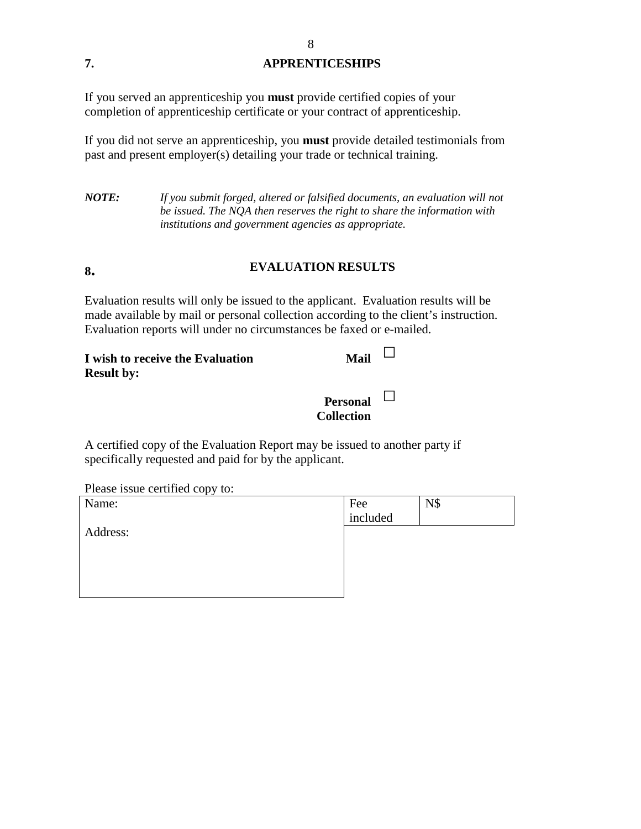# **7. APPRENTICESHIPS**

If you served an apprenticeship you **must** provide certified copies of your completion of apprenticeship certificate or your contract of apprenticeship.

If you did not serve an apprenticeship, you **must** provide detailed testimonials from past and present employer(s) detailing your trade or technical training.

*NOTE: If you submit forged, altered or falsified documents, an evaluation will not be issued. The NQA then reserves the right to share the information with institutions and government agencies as appropriate.* 

# **8. EVALUATION RESULTS**

Evaluation results will only be issued to the applicant. Evaluation results will be made available by mail or personal collection according to the client's instruction. Evaluation reports will under no circumstances be faxed or e-mailed.

| I wish to receive the Evaluation<br><b>Result by:</b> | Mail $\Box$                          |
|-------------------------------------------------------|--------------------------------------|
|                                                       | Personal $\Box$<br><b>Collection</b> |

A certified copy of the Evaluation Report may be issued to another party if specifically requested and paid for by the applicant.

Please issue certified copy to:

| Name:    | Fee      | N\$ |
|----------|----------|-----|
|          | included |     |
| Address: |          |     |
|          |          |     |
|          |          |     |
|          |          |     |
|          |          |     |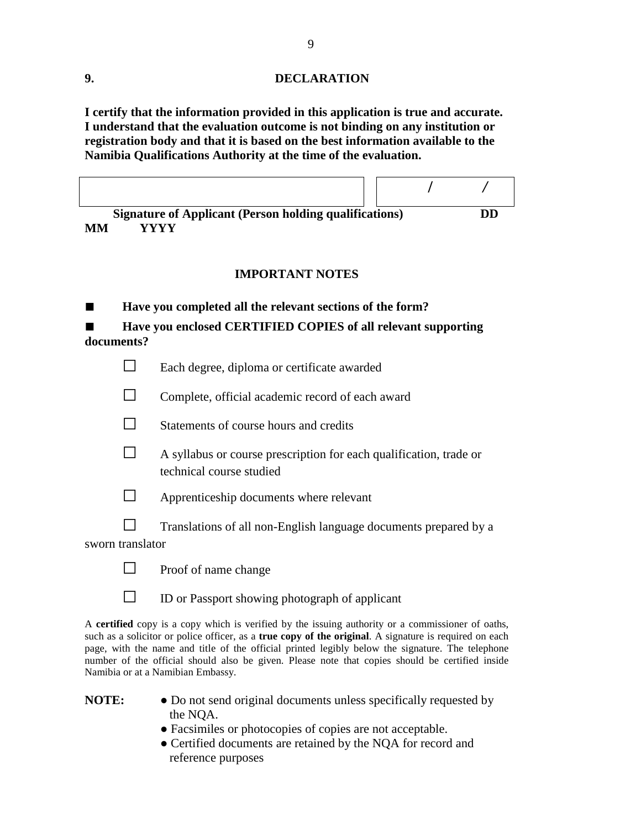#### **9. DECLARATION**

**I certify that the information provided in this application is true and accurate. I understand that the evaluation outcome is not binding on any institution or registration body and that it is based on the best information available to the Namibia Qualifications Authority at the time of the evaluation.**

|    | <b>Signature of Applicant (Person holding qualifications)</b> |  | DD |
|----|---------------------------------------------------------------|--|----|
| MМ | VVVV                                                          |  |    |

#### **IMPORTANT NOTES**

| Have you completed all the relevant sections of the form? |
|-----------------------------------------------------------|

Have you enclosed CERTIFIED COPIES of all relevant supporting **documents?** 

| $\Box$ | Each degree, diploma or certificate awarded |
|--------|---------------------------------------------|

 $\Box$  Complete, official academic record of each award



 $\Box$  A syllabus or course prescription for each qualification, trade or technical course studied



- $\Box$  Translations of all non-English language documents prepared by a sworn translator
	-

 $\Box$  Proof of name change

 $\Box$  ID or Passport showing photograph of applicant

A **certified** copy is a copy which is verified by the issuing authority or a commissioner of oaths, such as a solicitor or police officer, as a **true copy of the original**. A signature is required on each page, with the name and title of the official printed legibly below the signature. The telephone number of the official should also be given. Please note that copies should be certified inside Namibia or at a Namibian Embassy.

- **NOTE:**  $\bullet$  Do not send original documents unless specifically requested by the NQA.
	- Facsimiles or photocopies of copies are not acceptable.
	- Certified documents are retained by the NOA for record and reference purposes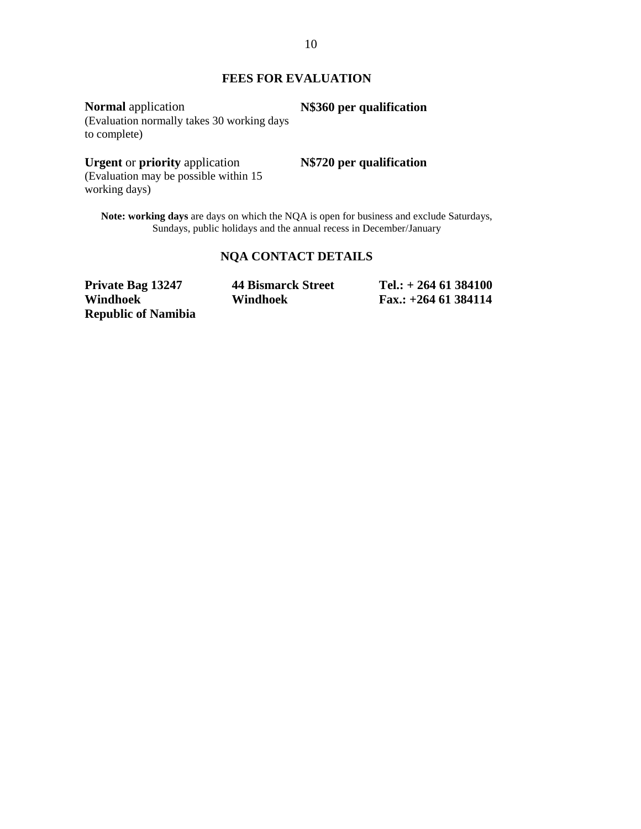#### **FEES FOR EVALUATION**

**Normal** application (Evaluation normally takes 30 working days to complete) **N\$360 per qualification** 

### **Urgent** or **priority** application

**N\$720 per qualification** 

(Evaluation may be possible within 15 working days)

**Note: working days** are days on which the NQA is open for business and exclude Saturdays, Sundays, public holidays and the annual recess in December/January

## **NQA CONTACT DETAILS**

| <b>Private Bag 13247</b>   | <b>44 Bismarck Street</b> | Tel.: $+ 264 61 384100$ |
|----------------------------|---------------------------|-------------------------|
| Windhoek                   | Windhoek                  | Fax.: $+264$ 61 384114  |
| <b>Republic of Namibia</b> |                           |                         |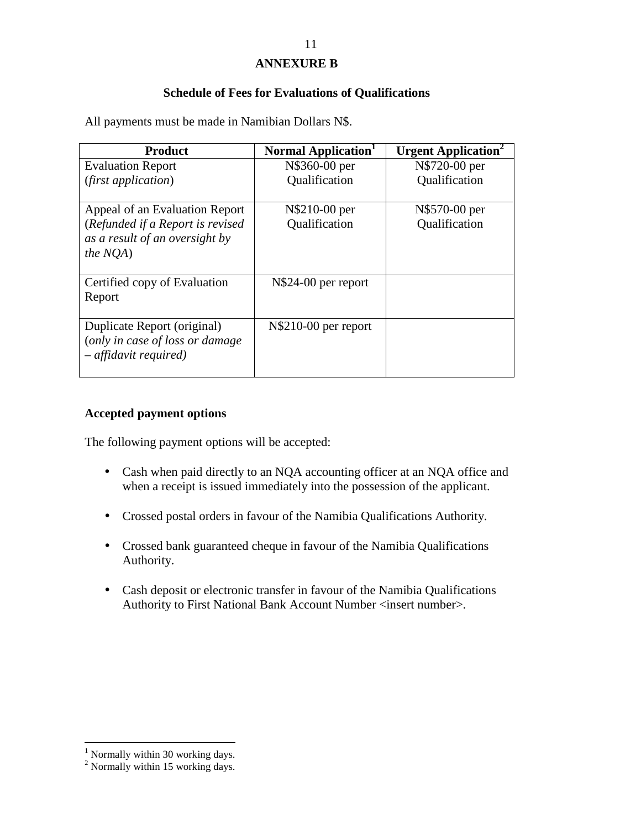### **ANNEXURE B**

#### **Schedule of Fees for Evaluations of Qualifications**

All payments must be made in Namibian Dollars N\$.

| <b>Product</b>                   | Normal Application <sup>1</sup> | <b>Urgent Application</b> |
|----------------------------------|---------------------------------|---------------------------|
| <b>Evaluation Report</b>         | N\$360-00 per                   | N\$720-00 per             |
| (first application)              | Qualification                   | Qualification             |
|                                  |                                 |                           |
| Appeal of an Evaluation Report   | N\$210-00 per                   | N\$570-00 per             |
| (Refunded if a Report is revised | Qualification                   | Qualification             |
| as a result of an oversight by   |                                 |                           |
| <i>the NOA</i> )                 |                                 |                           |
|                                  |                                 |                           |
| Certified copy of Evaluation     | N\\$24-00 per report            |                           |
| Report                           |                                 |                           |
|                                  |                                 |                           |
| Duplicate Report (original)      | N\\$210-00 per report           |                           |
| (only in case of loss or damage  |                                 |                           |
| $-$ affidavit required)          |                                 |                           |
|                                  |                                 |                           |

#### **Accepted payment options**

The following payment options will be accepted:

- Cash when paid directly to an NQA accounting officer at an NQA office and when a receipt is issued immediately into the possession of the applicant.
- Crossed postal orders in favour of the Namibia Qualifications Authority.
- Crossed bank guaranteed cheque in favour of the Namibia Qualifications Authority.
- Cash deposit or electronic transfer in favour of the Namibia Qualifications Authority to First National Bank Account Number <insert number>.

 1 Normally within 30 working days. 2 Normally within 15 working days.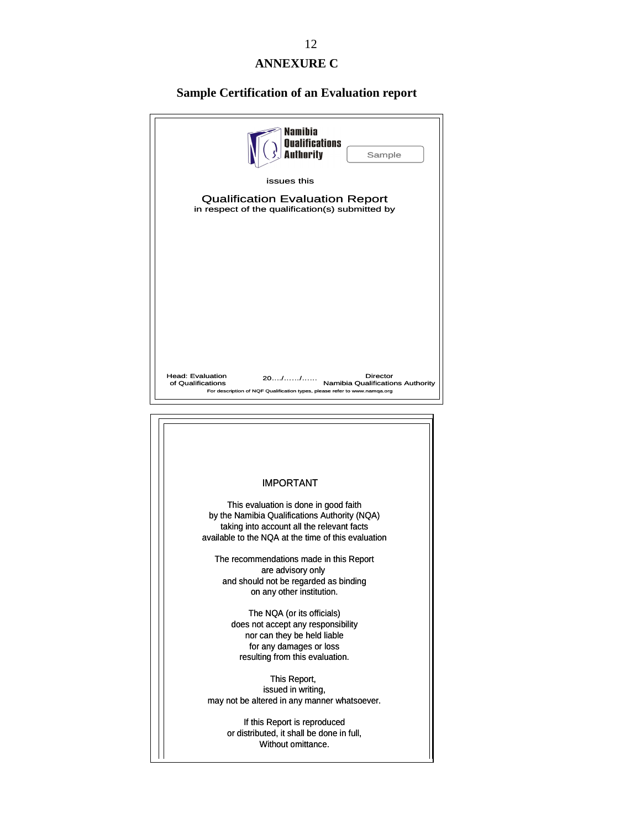# **ANNEXURE C**

# **Sample Certification of an Evaluation report**

| Namihia<br><b>Qualifications</b><br><b>Authority</b><br>Sample                                                                                                                                                                                                                                                                                                                                                                                                                                                                                                                                                                                                                            |
|-------------------------------------------------------------------------------------------------------------------------------------------------------------------------------------------------------------------------------------------------------------------------------------------------------------------------------------------------------------------------------------------------------------------------------------------------------------------------------------------------------------------------------------------------------------------------------------------------------------------------------------------------------------------------------------------|
| issues this                                                                                                                                                                                                                                                                                                                                                                                                                                                                                                                                                                                                                                                                               |
| <b>Qualification Evaluation Report</b><br>in respect of the qualification(s) submitted by                                                                                                                                                                                                                                                                                                                                                                                                                                                                                                                                                                                                 |
|                                                                                                                                                                                                                                                                                                                                                                                                                                                                                                                                                                                                                                                                                           |
| <b>Head: Evaluation</b><br>Director<br>2011<br>of Qualifications<br>Namibia Qualifications Authority<br>For description of NQF Qualification types, please refer to www.namqa.org                                                                                                                                                                                                                                                                                                                                                                                                                                                                                                         |
|                                                                                                                                                                                                                                                                                                                                                                                                                                                                                                                                                                                                                                                                                           |
| <b>IMPORTANT</b><br>This evaluation is done in good faith<br>by the Namibia Qualifications Authority (NQA)<br>taking into account all the relevant facts<br>available to the NQA at the time of this evaluation<br>The recommendations made in this Report<br>are advisory only<br>and should not be regarded as binding<br>on any other institution.<br>The NQA (or its officials)<br>does not accept any responsibility<br>nor can they be held liable<br>for any damages or loss<br>resulting from this evaluation.<br>This Report,<br>issued in writing,<br>may not be altered in any manner whatsoever.<br>If this Report is reproduced<br>or distributed, it shall be done in full, |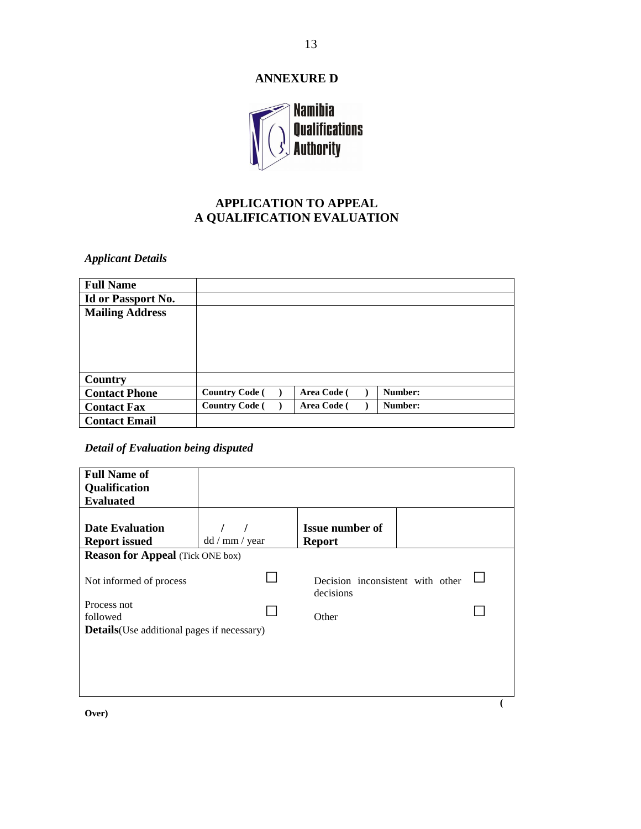# **ANNEXURE D**



# **APPLICATION TO APPEAL A QUALIFICATION EVALUATION**

*Applicant Details* 

| <b>Full Name</b>       |                       |             |         |
|------------------------|-----------------------|-------------|---------|
| Id or Passport No.     |                       |             |         |
| <b>Mailing Address</b> |                       |             |         |
|                        |                       |             |         |
|                        |                       |             |         |
|                        |                       |             |         |
|                        |                       |             |         |
| Country                |                       |             |         |
| <b>Contact Phone</b>   | <b>Country Code</b> ( | Area Code ( | Number: |
| <b>Contact Fax</b>     | <b>Country Code</b> ( | Area Code ( | Number: |
| <b>Contact Email</b>   |                       |             |         |

## *Detail of Evaluation being disputed*

| <b>Full Name of</b><br>Qualification               |                |                                               |  |  |
|----------------------------------------------------|----------------|-----------------------------------------------|--|--|
| <b>Evaluated</b>                                   |                |                                               |  |  |
| <b>Date Evaluation</b><br><b>Report issued</b>     | dd / mm / year | <b>Issue number of</b><br><b>Report</b>       |  |  |
| <b>Reason for Appeal</b> (Tick ONE box)            |                |                                               |  |  |
| Not informed of process                            |                | Decision inconsistent with other<br>decisions |  |  |
| Process not<br>followed                            |                | Other                                         |  |  |
| <b>Details</b> (Use additional pages if necessary) |                |                                               |  |  |
|                                                    |                |                                               |  |  |
|                                                    |                |                                               |  |  |
|                                                    |                |                                               |  |  |

**Over)**